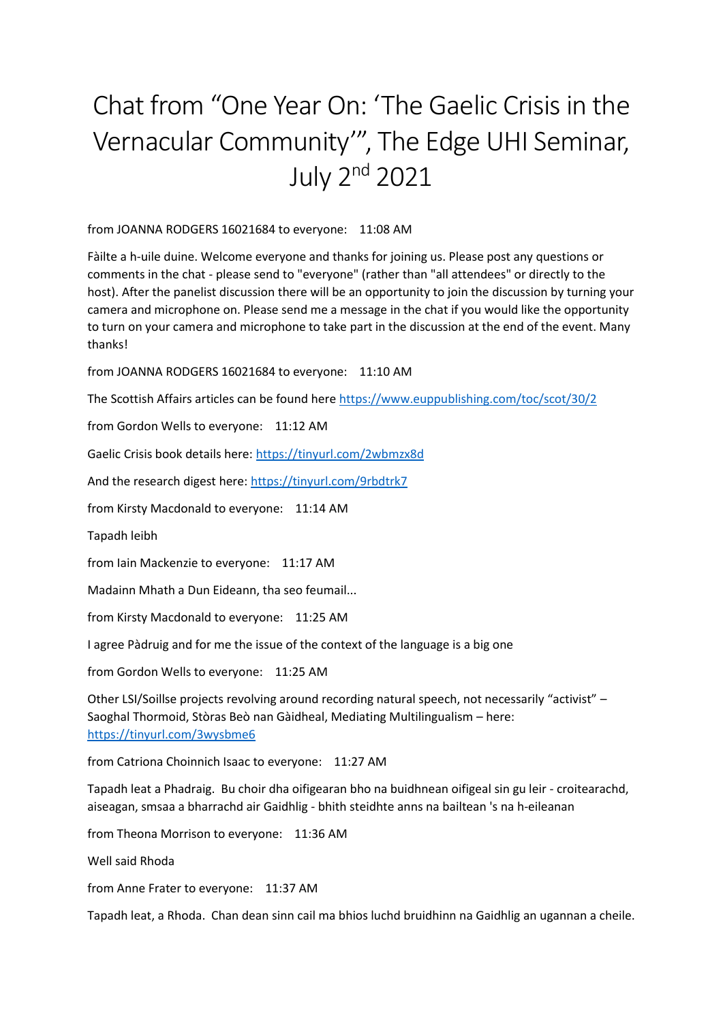## Chat from "One Year On: 'The Gaelic Crisis in the Vernacular Community'", The Edge UHI Seminar, July 2nd 2021

from JOANNA RODGERS 16021684 to everyone: 11:08 AM

Fàilte a h-uile duine. Welcome everyone and thanks for joining us. Please post any questions or comments in the chat - please send to "everyone" (rather than "all attendees" or directly to the host). After the panelist discussion there will be an opportunity to join the discussion by turning your camera and microphone on. Please send me a message in the chat if you would like the opportunity to turn on your camera and microphone to take part in the discussion at the end of the event. Many thanks!

from JOANNA RODGERS 16021684 to everyone: 11:10 AM

The Scottish Affairs articles can be found here<https://www.euppublishing.com/toc/scot/30/2>

from Gordon Wells to everyone: 11:12 AM

Gaelic Crisis book details here[: https://tinyurl.com/2wbmzx8d](https://tinyurl.com/2wbmzx8d)

And the research digest here:<https://tinyurl.com/9rbdtrk7>

from Kirsty Macdonald to everyone: 11:14 AM

Tapadh leibh

from Iain Mackenzie to everyone: 11:17 AM

Madainn Mhath a Dun Eideann, tha seo feumail...

from Kirsty Macdonald to everyone: 11:25 AM

I agree Pàdruig and for me the issue of the context of the language is a big one

from Gordon Wells to everyone: 11:25 AM

Other LSI/Soillse projects revolving around recording natural speech, not necessarily "activist" – Saoghal Thormoid, Stòras Beò nan Gàidheal, Mediating Multilingualism – here: <https://tinyurl.com/3wysbme6>

from Catriona Choinnich Isaac to everyone: 11:27 AM

Tapadh leat a Phadraig. Bu choir dha oifigearan bho na buidhnean oifigeal sin gu leir - croitearachd, aiseagan, smsaa a bharrachd air Gaidhlig - bhith steidhte anns na bailtean 's na h-eileanan

from Theona Morrison to everyone: 11:36 AM

Well said Rhoda

from Anne Frater to everyone: 11:37 AM

Tapadh leat, a Rhoda. Chan dean sinn cail ma bhios luchd bruidhinn na Gaidhlig an ugannan a cheile.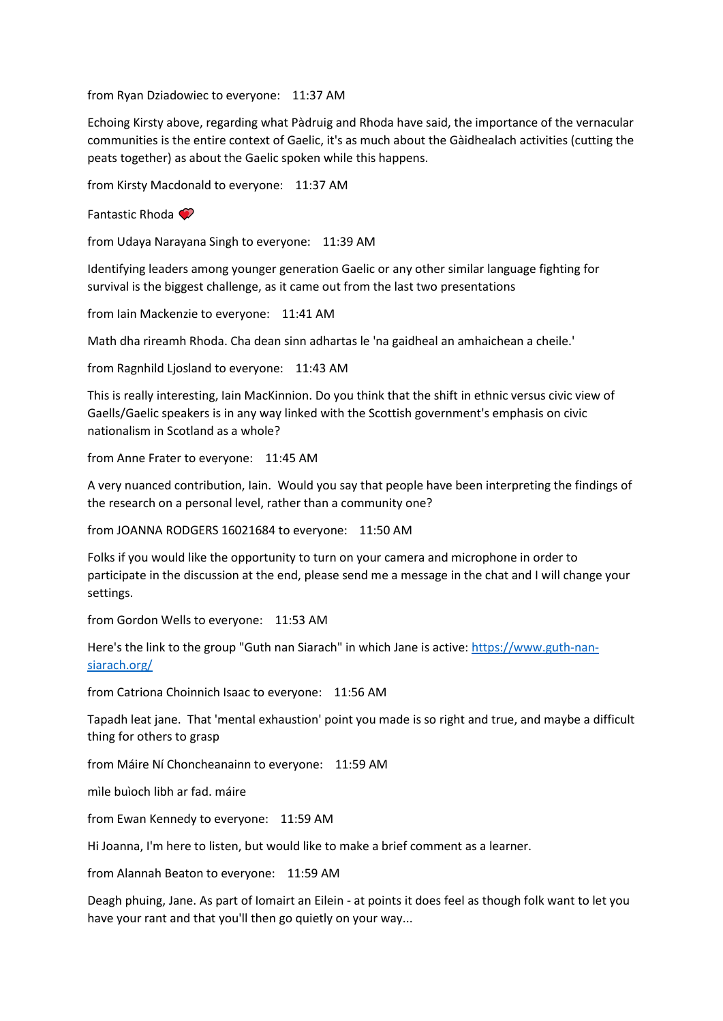from Ryan Dziadowiec to everyone: 11:37 AM

Echoing Kirsty above, regarding what Pàdruig and Rhoda have said, the importance of the vernacular communities is the entire context of Gaelic, it's as much about the Gàidhealach activities (cutting the peats together) as about the Gaelic spoken while this happens.

from Kirsty Macdonald to everyone: 11:37 AM

Fantastic Rhoda

from Udaya Narayana Singh to everyone: 11:39 AM

Identifying leaders among younger generation Gaelic or any other similar language fighting for survival is the biggest challenge, as it came out from the last two presentations

from Iain Mackenzie to everyone: 11:41 AM

Math dha rireamh Rhoda. Cha dean sinn adhartas le 'na gaidheal an amhaichean a cheile.'

from Ragnhild Ljosland to everyone: 11:43 AM

This is really interesting, Iain MacKinnion. Do you think that the shift in ethnic versus civic view of Gaells/Gaelic speakers is in any way linked with the Scottish government's emphasis on civic nationalism in Scotland as a whole?

from Anne Frater to everyone: 11:45 AM

A very nuanced contribution, Iain. Would you say that people have been interpreting the findings of the research on a personal level, rather than a community one?

from JOANNA RODGERS 16021684 to everyone: 11:50 AM

Folks if you would like the opportunity to turn on your camera and microphone in order to participate in the discussion at the end, please send me a message in the chat and I will change your settings.

from Gordon Wells to everyone: 11:53 AM

Here's the link to the group "Guth nan Siarach" in which Jane is active: [https://www.guth-nan](https://www.guth-nan-siarach.org/)[siarach.org/](https://www.guth-nan-siarach.org/)

from Catriona Choinnich Isaac to everyone: 11:56 AM

Tapadh leat jane. That 'mental exhaustion' point you made is so right and true, and maybe a difficult thing for others to grasp

from Máire Ní Choncheanainn to everyone: 11:59 AM

mìle buìoch libh ar fad. máire

from Ewan Kennedy to everyone: 11:59 AM

Hi Joanna, I'm here to listen, but would like to make a brief comment as a learner.

from Alannah Beaton to everyone: 11:59 AM

Deagh phuing, Jane. As part of Iomairt an Eilein - at points it does feel as though folk want to let you have your rant and that you'll then go quietly on your way...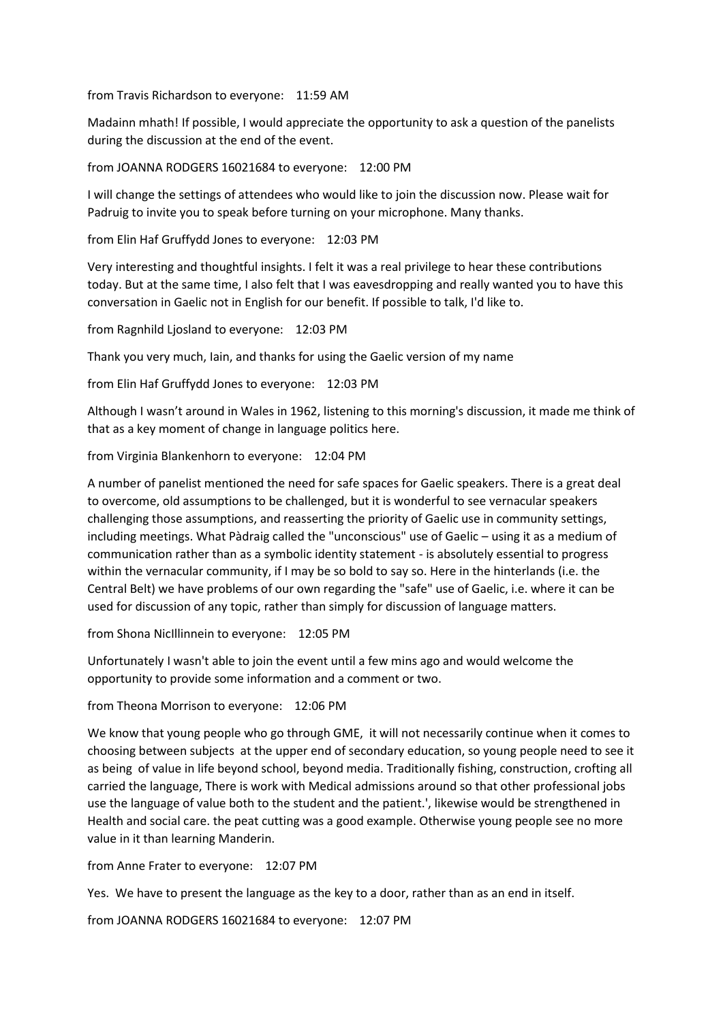from Travis Richardson to everyone: 11:59 AM

Madainn mhath! If possible, I would appreciate the opportunity to ask a question of the panelists during the discussion at the end of the event.

from JOANNA RODGERS 16021684 to everyone: 12:00 PM

I will change the settings of attendees who would like to join the discussion now. Please wait for Padruig to invite you to speak before turning on your microphone. Many thanks.

from Elin Haf Gruffydd Jones to everyone: 12:03 PM

Very interesting and thoughtful insights. I felt it was a real privilege to hear these contributions today. But at the same time, I also felt that I was eavesdropping and really wanted you to have this conversation in Gaelic not in English for our benefit. If possible to talk, I'd like to.

from Ragnhild Ljosland to everyone: 12:03 PM

Thank you very much, Iain, and thanks for using the Gaelic version of my name

from Elin Haf Gruffydd Jones to everyone: 12:03 PM

Although I wasn't around in Wales in 1962, listening to this morning's discussion, it made me think of that as a key moment of change in language politics here.

from Virginia Blankenhorn to everyone: 12:04 PM

A number of panelist mentioned the need for safe spaces for Gaelic speakers. There is a great deal to overcome, old assumptions to be challenged, but it is wonderful to see vernacular speakers challenging those assumptions, and reasserting the priority of Gaelic use in community settings, including meetings. What Pàdraig called the "unconscious" use of Gaelic – using it as a medium of communication rather than as a symbolic identity statement - is absolutely essential to progress within the vernacular community, if I may be so bold to say so. Here in the hinterlands (i.e. the Central Belt) we have problems of our own regarding the "safe" use of Gaelic, i.e. where it can be used for discussion of any topic, rather than simply for discussion of language matters.

from Shona NicIllinnein to everyone: 12:05 PM

Unfortunately I wasn't able to join the event until a few mins ago and would welcome the opportunity to provide some information and a comment or two.

from Theona Morrison to everyone: 12:06 PM

We know that young people who go through GME, it will not necessarily continue when it comes to choosing between subjects at the upper end of secondary education, so young people need to see it as being of value in life beyond school, beyond media. Traditionally fishing, construction, crofting all carried the language, There is work with Medical admissions around so that other professional jobs use the language of value both to the student and the patient.', likewise would be strengthened in Health and social care. the peat cutting was a good example. Otherwise young people see no more value in it than learning Manderin.

from Anne Frater to everyone: 12:07 PM

Yes. We have to present the language as the key to a door, rather than as an end in itself.

from JOANNA RODGERS 16021684 to everyone: 12:07 PM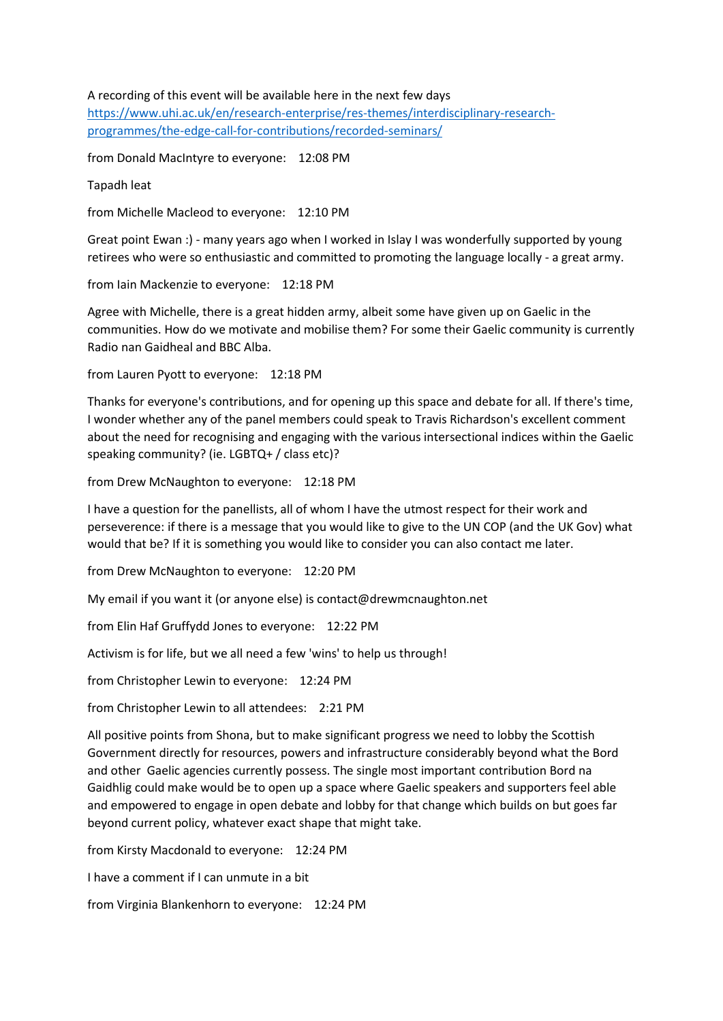## A recording of this event will be available here in the next few days

[https://www.uhi.ac.uk/en/research-enterprise/res-themes/interdisciplinary-research](https://www.uhi.ac.uk/en/research-enterprise/res-themes/interdisciplinary-research-programmes/the-edge-call-for-contributions/recorded-seminars/)[programmes/the-edge-call-for-contributions/recorded-seminars/](https://www.uhi.ac.uk/en/research-enterprise/res-themes/interdisciplinary-research-programmes/the-edge-call-for-contributions/recorded-seminars/)

from Donald MacIntyre to everyone: 12:08 PM

Tapadh leat

from Michelle Macleod to everyone: 12:10 PM

Great point Ewan :) - many years ago when I worked in Islay I was wonderfully supported by young retirees who were so enthusiastic and committed to promoting the language locally - a great army.

from Iain Mackenzie to everyone: 12:18 PM

Agree with Michelle, there is a great hidden army, albeit some have given up on Gaelic in the communities. How do we motivate and mobilise them? For some their Gaelic community is currently Radio nan Gaidheal and BBC Alba.

from Lauren Pyott to everyone: 12:18 PM

Thanks for everyone's contributions, and for opening up this space and debate for all. If there's time, I wonder whether any of the panel members could speak to Travis Richardson's excellent comment about the need for recognising and engaging with the various intersectional indices within the Gaelic speaking community? (ie. LGBTQ+ / class etc)?

from Drew McNaughton to everyone: 12:18 PM

I have a question for the panellists, all of whom I have the utmost respect for their work and perseverence: if there is a message that you would like to give to the UN COP (and the UK Gov) what would that be? If it is something you would like to consider you can also contact me later.

from Drew McNaughton to everyone: 12:20 PM

My email if you want it (or anyone else) is contact@drewmcnaughton.net

from Elin Haf Gruffydd Jones to everyone: 12:22 PM

Activism is for life, but we all need a few 'wins' to help us through!

from Christopher Lewin to everyone: 12:24 PM

from Christopher Lewin to all attendees: 2:21 PM

All positive points from Shona, but to make significant progress we need to lobby the Scottish Government directly for resources, powers and infrastructure considerably beyond what the Bord and other Gaelic agencies currently possess. The single most important contribution Bord na Gaidhlig could make would be to open up a space where Gaelic speakers and supporters feel able and empowered to engage in open debate and lobby for that change which builds on but goes far beyond current policy, whatever exact shape that might take.

from Kirsty Macdonald to everyone: 12:24 PM

I have a comment if I can unmute in a bit

from Virginia Blankenhorn to everyone: 12:24 PM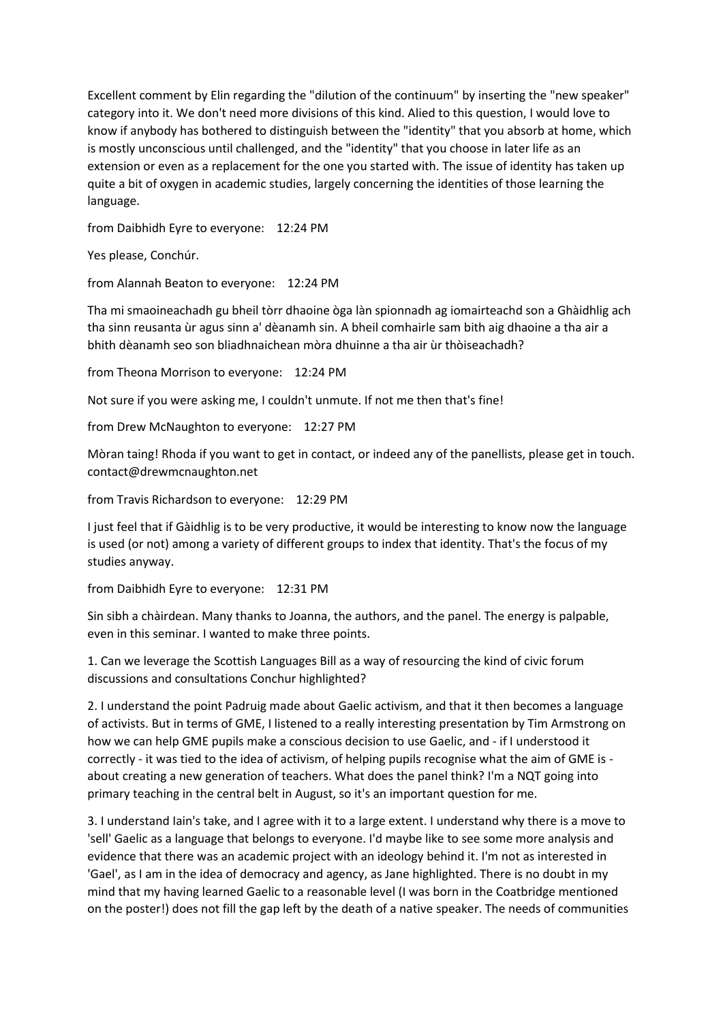Excellent comment by Elin regarding the "dilution of the continuum" by inserting the "new speaker" category into it. We don't need more divisions of this kind. Alied to this question, I would love to know if anybody has bothered to distinguish between the "identity" that you absorb at home, which is mostly unconscious until challenged, and the "identity" that you choose in later life as an extension or even as a replacement for the one you started with. The issue of identity has taken up quite a bit of oxygen in academic studies, largely concerning the identities of those learning the language.

from Daibhidh Eyre to everyone: 12:24 PM

Yes please, Conchúr.

from Alannah Beaton to everyone: 12:24 PM

Tha mi smaoineachadh gu bheil tòrr dhaoine òga làn spionnadh ag iomairteachd son a Ghàidhlig ach tha sinn reusanta ùr agus sinn a' dèanamh sin. A bheil comhairle sam bith aig dhaoine a tha air a bhith dèanamh seo son bliadhnaichean mòra dhuinne a tha air ùr thòiseachadh?

from Theona Morrison to everyone: 12:24 PM

Not sure if you were asking me, I couldn't unmute. If not me then that's fine!

from Drew McNaughton to everyone: 12:27 PM

Mòran taing! Rhoda if you want to get in contact, or indeed any of the panellists, please get in touch. contact@drewmcnaughton.net

from Travis Richardson to everyone: 12:29 PM

I just feel that if Gàidhlig is to be very productive, it would be interesting to know now the language is used (or not) among a variety of different groups to index that identity. That's the focus of my studies anyway.

from Daibhidh Eyre to everyone: 12:31 PM

Sin sibh a chàirdean. Many thanks to Joanna, the authors, and the panel. The energy is palpable, even in this seminar. I wanted to make three points.

1. Can we leverage the Scottish Languages Bill as a way of resourcing the kind of civic forum discussions and consultations Conchur highlighted?

2. I understand the point Padruig made about Gaelic activism, and that it then becomes a language of activists. But in terms of GME, I listened to a really interesting presentation by Tim Armstrong on how we can help GME pupils make a conscious decision to use Gaelic, and - if I understood it correctly - it was tied to the idea of activism, of helping pupils recognise what the aim of GME is about creating a new generation of teachers. What does the panel think? I'm a NQT going into primary teaching in the central belt in August, so it's an important question for me.

3. I understand Iain's take, and I agree with it to a large extent. I understand why there is a move to 'sell' Gaelic as a language that belongs to everyone. I'd maybe like to see some more analysis and evidence that there was an academic project with an ideology behind it. I'm not as interested in 'Gael', as I am in the idea of democracy and agency, as Jane highlighted. There is no doubt in my mind that my having learned Gaelic to a reasonable level (I was born in the Coatbridge mentioned on the poster!) does not fill the gap left by the death of a native speaker. The needs of communities